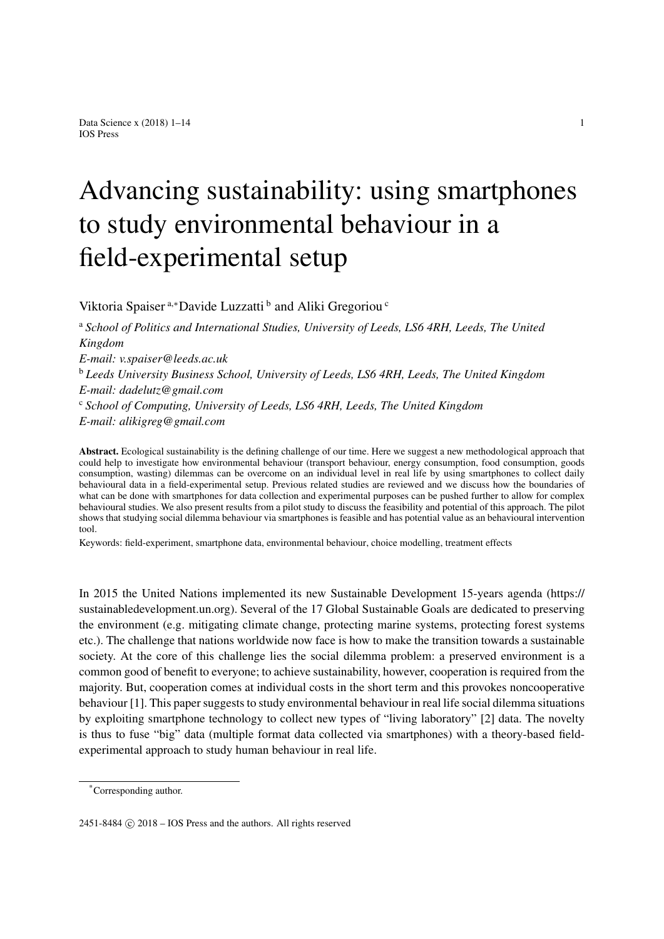# Advancing sustainability: using smartphones to study environmental behaviour in a field-experimental setup

<span id="page-0-0"></span>Viktori[a](#page-0-0) Spaiser<sup>a,\*</sup>Davide Luzzatti<sup>[b](#page-0-2)</sup> and Aliki Gregoriou<sup>[c](#page-0-3)</sup>

<span id="page-0-2"></span><sup>a</sup> *School of Politics and International Studies, University of Leeds, LS6 4RH, Leeds, The United Kingdom E-mail: [v.spaiser@leeds.ac.uk](mailto:v.spaiser@leeds.ac.uk)* <sup>b</sup> *Leeds University Business School, University of Leeds, LS6 4RH, Leeds, The United Kingdom E-mail: [dadelutz@gmail.com](mailto:dadelutz@gmail.com)* <sup>c</sup> *School of Computing, University of Leeds, LS6 4RH, Leeds, The United Kingdom E-mail: [alikigreg@gmail.com](mailto:alikigreg@gmail.com)*

<span id="page-0-3"></span>Abstract. Ecological sustainability is the defining challenge of our time. Here we suggest a new methodological approach that could help to investigate how environmental behaviour (transport behaviour, energy consumption, food consumption, goods consumption, wasting) dilemmas can be overcome on an individual level in real life by using smartphones to collect daily behavioural data in a field-experimental setup. Previous related studies are reviewed and we discuss how the boundaries of what can be done with smartphones for data collection and experimental purposes can be pushed further to allow for complex behavioural studies. We also present results from a pilot study to discuss the feasibility and potential of this approach. The pilot shows that studying social dilemma behaviour via smartphones is feasible and has potential value as an behavioural intervention tool.

Keywords: field-experiment, smartphone data, environmental behaviour, choice modelling, treatment effects

In 2015 the United Nations implemented its new Sustainable Development 15-years agenda [\(https://](https://sustainabledevelopment.un.org) [sustainabledevelopment.un.org\)](https://sustainabledevelopment.un.org). Several of the 17 Global Sustainable Goals are dedicated to preserving the environment (e.g. mitigating climate change, protecting marine systems, protecting forest systems etc.). The challenge that nations worldwide now face is how to make the transition towards a sustainable society. At the core of this challenge lies the social dilemma problem: a preserved environment is a common good of benefit to everyone; to achieve sustainability, however, cooperation is required from the majority. But, cooperation comes at individual costs in the short term and this provokes noncooperative behaviour [\[1\]](#page-11-0). This paper suggests to study environmental behaviour in real life social dilemma situations by exploiting smartphone technology to collect new types of "living laboratory" [\[2\]](#page-11-1) data. The novelty is thus to fuse "big" data (multiple format data collected via smartphones) with a theory-based fieldexperimental approach to study human behaviour in real life.

<span id="page-0-1"></span><sup>\*</sup>Corresponding author.

 $2451-8484$  ( $\odot$ )  $2018 - \text{IOS Press}$  and the authors. All rights reserved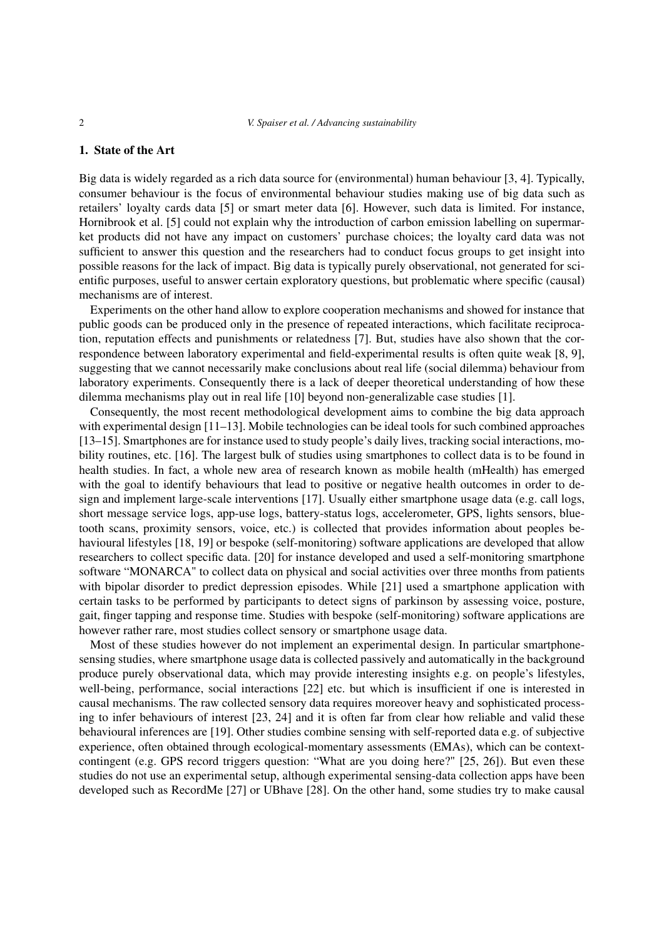#### 1. State of the Art

Big data is widely regarded as a rich data source for (environmental) human behaviour [\[3,](#page-11-2) [4\]](#page-11-3). Typically, consumer behaviour is the focus of environmental behaviour studies making use of big data such as retailers' loyalty cards data [\[5\]](#page-11-4) or smart meter data [\[6\]](#page-11-5). However, such data is limited. For instance, Hornibrook et al. [\[5\]](#page-11-4) could not explain why the introduction of carbon emission labelling on supermarket products did not have any impact on customers' purchase choices; the loyalty card data was not sufficient to answer this question and the researchers had to conduct focus groups to get insight into possible reasons for the lack of impact. Big data is typically purely observational, not generated for scientific purposes, useful to answer certain exploratory questions, but problematic where specific (causal) mechanisms are of interest.

Experiments on the other hand allow to explore cooperation mechanisms and showed for instance that public goods can be produced only in the presence of repeated interactions, which facilitate reciprocation, reputation effects and punishments or relatedness [\[7\]](#page-11-6). But, studies have also shown that the correspondence between laboratory experimental and field-experimental results is often quite weak [\[8,](#page-11-7) [9\]](#page-11-8), suggesting that we cannot necessarily make conclusions about real life (social dilemma) behaviour from laboratory experiments. Consequently there is a lack of deeper theoretical understanding of how these dilemma mechanisms play out in real life [\[10\]](#page-11-9) beyond non-generalizable case studies [\[1\]](#page-11-0).

Consequently, the most recent methodological development aims to combine the big data approach with experimental design [\[11–](#page-11-10)[13\]](#page-11-11). Mobile technologies can be ideal tools for such combined approaches [\[13](#page-11-11)[–15\]](#page-11-12). Smartphones are for instance used to study people's daily lives, tracking social interactions, mobility routines, etc. [\[16\]](#page-11-13). The largest bulk of studies using smartphones to collect data is to be found in health studies. In fact, a whole new area of research known as mobile health (mHealth) has emerged with the goal to identify behaviours that lead to positive or negative health outcomes in order to design and implement large-scale interventions [\[17\]](#page-11-14). Usually either smartphone usage data (e.g. call logs, short message service logs, app-use logs, battery-status logs, accelerometer, GPS, lights sensors, bluetooth scans, proximity sensors, voice, etc.) is collected that provides information about peoples behavioural lifestyles [\[18,](#page-11-15) [19\]](#page-11-16) or bespoke (self-monitoring) software applications are developed that allow researchers to collect specific data. [\[20\]](#page-11-17) for instance developed and used a self-monitoring smartphone software "MONARCA" to collect data on physical and social activities over three months from patients with bipolar disorder to predict depression episodes. While [\[21\]](#page-11-18) used a smartphone application with certain tasks to be performed by participants to detect signs of parkinson by assessing voice, posture, gait, finger tapping and response time. Studies with bespoke (self-monitoring) software applications are however rather rare, most studies collect sensory or smartphone usage data.

Most of these studies however do not implement an experimental design. In particular smartphonesensing studies, where smartphone usage data is collected passively and automatically in the background produce purely observational data, which may provide interesting insights e.g. on people's lifestyles, well-being, performance, social interactions [\[22\]](#page-11-19) etc. but which is insufficient if one is interested in causal mechanisms. The raw collected sensory data requires moreover heavy and sophisticated processing to infer behaviours of interest [\[23,](#page-11-20) [24\]](#page-11-21) and it is often far from clear how reliable and valid these behavioural inferences are [\[19\]](#page-11-16). Other studies combine sensing with self-reported data e.g. of subjective experience, often obtained through ecological-momentary assessments (EMAs), which can be contextcontingent (e.g. GPS record triggers question: "What are you doing here?" [\[25,](#page-12-0) [26\]](#page-12-1)). But even these studies do not use an experimental setup, although experimental sensing-data collection apps have been developed such as RecordMe [\[27\]](#page-12-2) or UBhave [\[28\]](#page-12-3). On the other hand, some studies try to make causal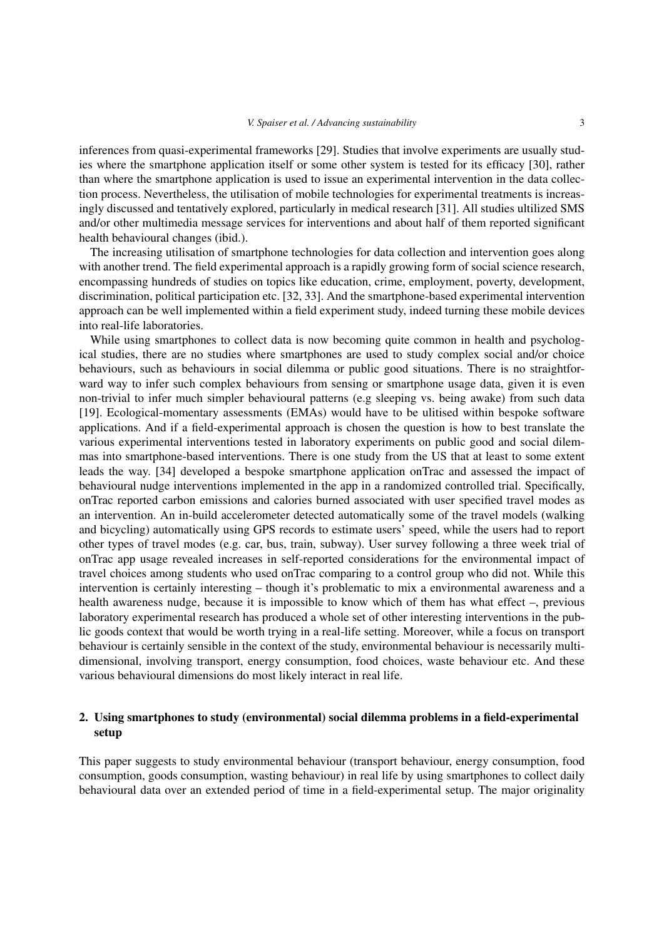inferences from quasi-experimental frameworks [\[29\]](#page-12-4). Studies that involve experiments are usually studies where the smartphone application itself or some other system is tested for its efficacy [\[30\]](#page-12-5), rather than where the smartphone application is used to issue an experimental intervention in the data collection process. Nevertheless, the utilisation of mobile technologies for experimental treatments is increasingly discussed and tentatively explored, particularly in medical research [\[31\]](#page-12-6). All studies ultilized SMS and/or other multimedia message services for interventions and about half of them reported significant health behavioural changes (ibid.).

The increasing utilisation of smartphone technologies for data collection and intervention goes along with another trend. The field experimental approach is a rapidly growing form of social science research, encompassing hundreds of studies on topics like education, crime, employment, poverty, development, discrimination, political participation etc. [\[32,](#page-12-7) [33\]](#page-12-8). And the smartphone-based experimental intervention approach can be well implemented within a field experiment study, indeed turning these mobile devices into real-life laboratories.

While using smartphones to collect data is now becoming quite common in health and psychological studies, there are no studies where smartphones are used to study complex social and/or choice behaviours, such as behaviours in social dilemma or public good situations. There is no straightforward way to infer such complex behaviours from sensing or smartphone usage data, given it is even non-trivial to infer much simpler behavioural patterns (e.g sleeping vs. being awake) from such data [\[19\]](#page-11-16). Ecological-momentary assessments (EMAs) would have to be ulitised within bespoke software applications. And if a field-experimental approach is chosen the question is how to best translate the various experimental interventions tested in laboratory experiments on public good and social dilemmas into smartphone-based interventions. There is one study from the US that at least to some extent leads the way. [\[34\]](#page-12-9) developed a bespoke smartphone application onTrac and assessed the impact of behavioural nudge interventions implemented in the app in a randomized controlled trial. Specifically, onTrac reported carbon emissions and calories burned associated with user specified travel modes as an intervention. An in-build accelerometer detected automatically some of the travel models (walking and bicycling) automatically using GPS records to estimate users' speed, while the users had to report other types of travel modes (e.g. car, bus, train, subway). User survey following a three week trial of onTrac app usage revealed increases in self-reported considerations for the environmental impact of travel choices among students who used onTrac comparing to a control group who did not. While this intervention is certainly interesting – though it's problematic to mix a environmental awareness and a health awareness nudge, because it is impossible to know which of them has what effect –, previous laboratory experimental research has produced a whole set of other interesting interventions in the public goods context that would be worth trying in a real-life setting. Moreover, while a focus on transport behaviour is certainly sensible in the context of the study, environmental behaviour is necessarily multidimensional, involving transport, energy consumption, food choices, waste behaviour etc. And these various behavioural dimensions do most likely interact in real life.

## 2. Using smartphones to study (environmental) social dilemma problems in a field-experimental setup

This paper suggests to study environmental behaviour (transport behaviour, energy consumption, food consumption, goods consumption, wasting behaviour) in real life by using smartphones to collect daily behavioural data over an extended period of time in a field-experimental setup. The major originality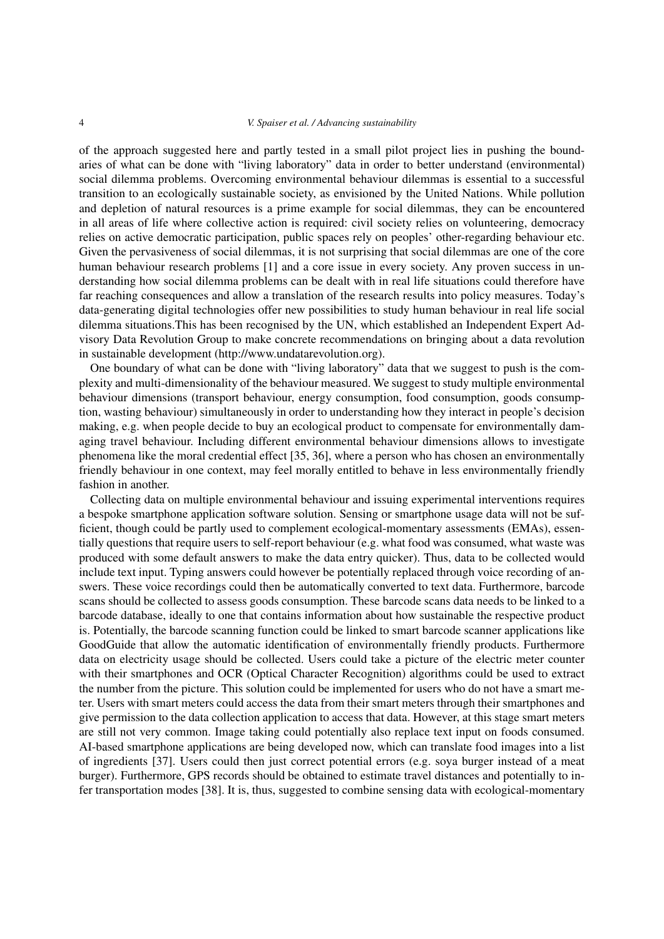of the approach suggested here and partly tested in a small pilot project lies in pushing the boundaries of what can be done with "living laboratory" data in order to better understand (environmental) social dilemma problems. Overcoming environmental behaviour dilemmas is essential to a successful transition to an ecologically sustainable society, as envisioned by the United Nations. While pollution and depletion of natural resources is a prime example for social dilemmas, they can be encountered in all areas of life where collective action is required: civil society relies on volunteering, democracy relies on active democratic participation, public spaces rely on peoples' other-regarding behaviour etc. Given the pervasiveness of social dilemmas, it is not surprising that social dilemmas are one of the core human behaviour research problems [\[1\]](#page-11-0) and a core issue in every society. Any proven success in understanding how social dilemma problems can be dealt with in real life situations could therefore have far reaching consequences and allow a translation of the research results into policy measures. Today's data-generating digital technologies offer new possibilities to study human behaviour in real life social dilemma situations.This has been recognised by the UN, which established an Independent Expert Advisory Data Revolution Group to make concrete recommendations on bringing about a data revolution in sustainable development [\(http://www.undatarevolution.org\)](http://www.undatarevolution.org).

One boundary of what can be done with "living laboratory" data that we suggest to push is the complexity and multi-dimensionality of the behaviour measured. We suggest to study multiple environmental behaviour dimensions (transport behaviour, energy consumption, food consumption, goods consumption, wasting behaviour) simultaneously in order to understanding how they interact in people's decision making, e.g. when people decide to buy an ecological product to compensate for environmentally damaging travel behaviour. Including different environmental behaviour dimensions allows to investigate phenomena like the moral credential effect [\[35,](#page-12-10) [36\]](#page-12-11), where a person who has chosen an environmentally friendly behaviour in one context, may feel morally entitled to behave in less environmentally friendly fashion in another.

Collecting data on multiple environmental behaviour and issuing experimental interventions requires a bespoke smartphone application software solution. Sensing or smartphone usage data will not be sufficient, though could be partly used to complement ecological-momentary assessments (EMAs), essentially questions that require users to self-report behaviour (e.g. what food was consumed, what waste was produced with some default answers to make the data entry quicker). Thus, data to be collected would include text input. Typing answers could however be potentially replaced through voice recording of answers. These voice recordings could then be automatically converted to text data. Furthermore, barcode scans should be collected to assess goods consumption. These barcode scans data needs to be linked to a barcode database, ideally to one that contains information about how sustainable the respective product is. Potentially, the barcode scanning function could be linked to smart barcode scanner applications like GoodGuide that allow the automatic identification of environmentally friendly products. Furthermore data on electricity usage should be collected. Users could take a picture of the electric meter counter with their smartphones and OCR (Optical Character Recognition) algorithms could be used to extract the number from the picture. This solution could be implemented for users who do not have a smart meter. Users with smart meters could access the data from their smart meters through their smartphones and give permission to the data collection application to access that data. However, at this stage smart meters are still not very common. Image taking could potentially also replace text input on foods consumed. AI-based smartphone applications are being developed now, which can translate food images into a list of ingredients [\[37\]](#page-12-12). Users could then just correct potential errors (e.g. soya burger instead of a meat burger). Furthermore, GPS records should be obtained to estimate travel distances and potentially to infer transportation modes [\[38\]](#page-12-13). It is, thus, suggested to combine sensing data with ecological-momentary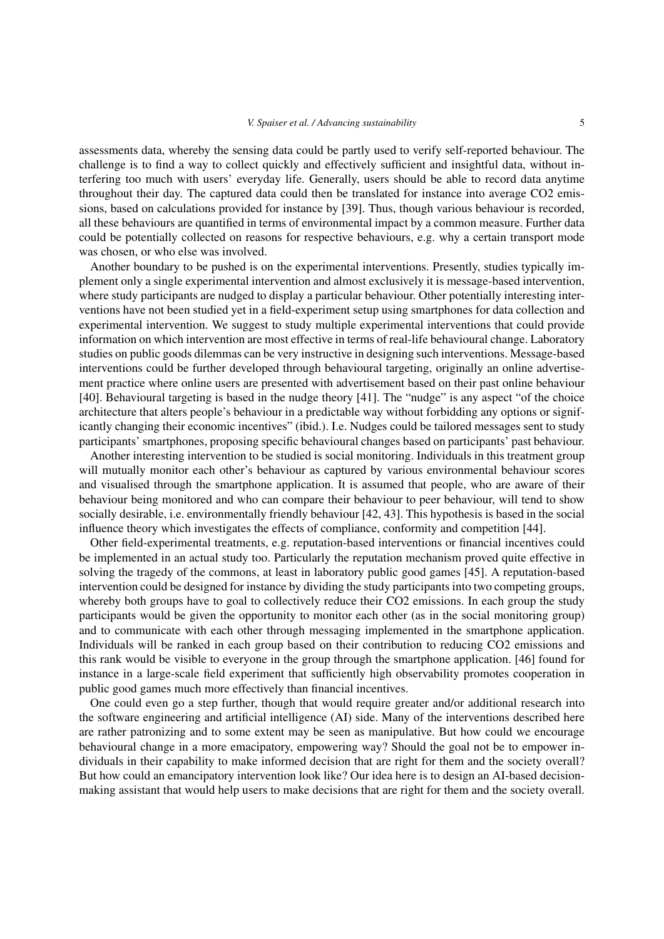assessments data, whereby the sensing data could be partly used to verify self-reported behaviour. The challenge is to find a way to collect quickly and effectively sufficient and insightful data, without interfering too much with users' everyday life. Generally, users should be able to record data anytime throughout their day. The captured data could then be translated for instance into average CO2 emissions, based on calculations provided for instance by [\[39\]](#page-12-14). Thus, though various behaviour is recorded, all these behaviours are quantified in terms of environmental impact by a common measure. Further data could be potentially collected on reasons for respective behaviours, e.g. why a certain transport mode was chosen, or who else was involved.

Another boundary to be pushed is on the experimental interventions. Presently, studies typically implement only a single experimental intervention and almost exclusively it is message-based intervention, where study participants are nudged to display a particular behaviour. Other potentially interesting interventions have not been studied yet in a field-experiment setup using smartphones for data collection and experimental intervention. We suggest to study multiple experimental interventions that could provide information on which intervention are most effective in terms of real-life behavioural change. Laboratory studies on public goods dilemmas can be very instructive in designing such interventions. Message-based interventions could be further developed through behavioural targeting, originally an online advertisement practice where online users are presented with advertisement based on their past online behaviour [\[40\]](#page-12-15). Behavioural targeting is based in the nudge theory [\[41\]](#page-12-16). The "nudge" is any aspect "of the choice architecture that alters people's behaviour in a predictable way without forbidding any options or significantly changing their economic incentives" (ibid.). I.e. Nudges could be tailored messages sent to study participants' smartphones, proposing specific behavioural changes based on participants' past behaviour.

Another interesting intervention to be studied is social monitoring. Individuals in this treatment group will mutually monitor each other's behaviour as captured by various environmental behaviour scores and visualised through the smartphone application. It is assumed that people, who are aware of their behaviour being monitored and who can compare their behaviour to peer behaviour, will tend to show socially desirable, i.e. environmentally friendly behaviour [\[42,](#page-12-17) [43\]](#page-12-18). This hypothesis is based in the social influence theory which investigates the effects of compliance, conformity and competition [\[44\]](#page-12-19).

Other field-experimental treatments, e.g. reputation-based interventions or financial incentives could be implemented in an actual study too. Particularly the reputation mechanism proved quite effective in solving the tragedy of the commons, at least in laboratory public good games [\[45\]](#page-12-20). A reputation-based intervention could be designed for instance by dividing the study participants into two competing groups, whereby both groups have to goal to collectively reduce their CO2 emissions. In each group the study participants would be given the opportunity to monitor each other (as in the social monitoring group) and to communicate with each other through messaging implemented in the smartphone application. Individuals will be ranked in each group based on their contribution to reducing CO2 emissions and this rank would be visible to everyone in the group through the smartphone application. [\[46\]](#page-12-21) found for instance in a large-scale field experiment that sufficiently high observability promotes cooperation in public good games much more effectively than financial incentives.

One could even go a step further, though that would require greater and/or additional research into the software engineering and artificial intelligence (AI) side. Many of the interventions described here are rather patronizing and to some extent may be seen as manipulative. But how could we encourage behavioural change in a more emacipatory, empowering way? Should the goal not be to empower individuals in their capability to make informed decision that are right for them and the society overall? But how could an emancipatory intervention look like? Our idea here is to design an AI-based decisionmaking assistant that would help users to make decisions that are right for them and the society overall.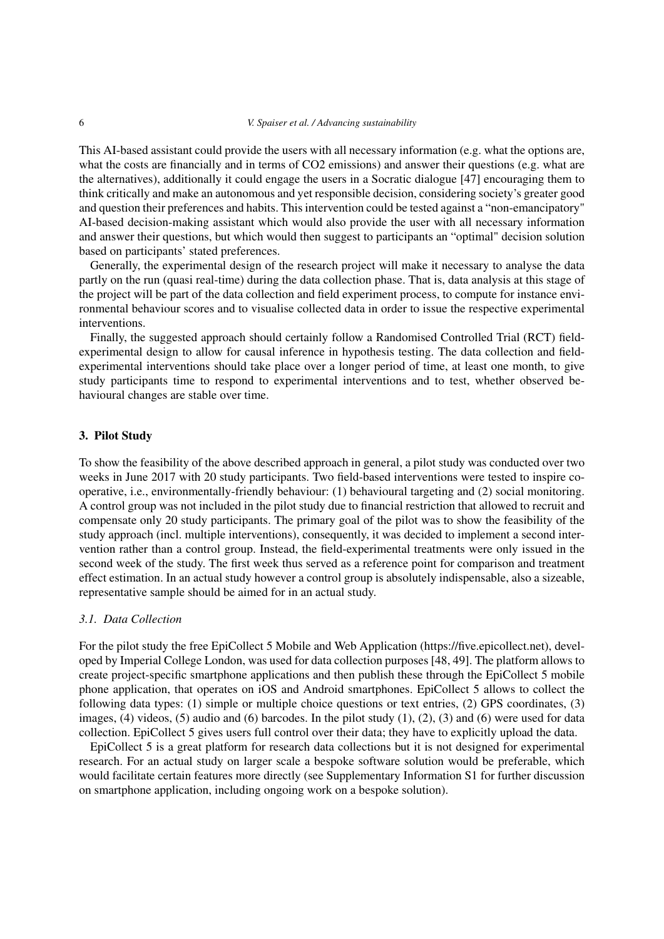This AI-based assistant could provide the users with all necessary information (e.g. what the options are, what the costs are financially and in terms of CO2 emissions) and answer their questions (e.g. what are the alternatives), additionally it could engage the users in a Socratic dialogue [\[47\]](#page-12-22) encouraging them to think critically and make an autonomous and yet responsible decision, considering society's greater good and question their preferences and habits. This intervention could be tested against a "non-emancipatory" AI-based decision-making assistant which would also provide the user with all necessary information and answer their questions, but which would then suggest to participants an "optimal" decision solution based on participants' stated preferences.

Generally, the experimental design of the research project will make it necessary to analyse the data partly on the run (quasi real-time) during the data collection phase. That is, data analysis at this stage of the project will be part of the data collection and field experiment process, to compute for instance environmental behaviour scores and to visualise collected data in order to issue the respective experimental interventions.

Finally, the suggested approach should certainly follow a Randomised Controlled Trial (RCT) fieldexperimental design to allow for causal inference in hypothesis testing. The data collection and fieldexperimental interventions should take place over a longer period of time, at least one month, to give study participants time to respond to experimental interventions and to test, whether observed behavioural changes are stable over time.

### 3. Pilot Study

To show the feasibility of the above described approach in general, a pilot study was conducted over two weeks in June 2017 with 20 study participants. Two field-based interventions were tested to inspire cooperative, i.e., environmentally-friendly behaviour: (1) behavioural targeting and (2) social monitoring. A control group was not included in the pilot study due to financial restriction that allowed to recruit and compensate only 20 study participants. The primary goal of the pilot was to show the feasibility of the study approach (incl. multiple interventions), consequently, it was decided to implement a second intervention rather than a control group. Instead, the field-experimental treatments were only issued in the second week of the study. The first week thus served as a reference point for comparison and treatment effect estimation. In an actual study however a control group is absolutely indispensable, also a sizeable, representative sample should be aimed for in an actual study.

#### *3.1. Data Collection*

For the pilot study the free EpiCollect 5 Mobile and Web Application [\(https://five.epicollect.net\)](https://five.epicollect.net), developed by Imperial College London, was used for data collection purposes [\[48,](#page-12-23) [49\]](#page-12-24). The platform allows to create project-specific smartphone applications and then publish these through the EpiCollect 5 mobile phone application, that operates on iOS and Android smartphones. EpiCollect 5 allows to collect the following data types: (1) simple or multiple choice questions or text entries, (2) GPS coordinates, (3) images,  $(4)$  videos,  $(5)$  audio and  $(6)$  barcodes. In the pilot study  $(1)$ ,  $(2)$ ,  $(3)$  and  $(6)$  were used for data collection. EpiCollect 5 gives users full control over their data; they have to explicitly upload the data.

EpiCollect 5 is a great platform for research data collections but it is not designed for experimental research. For an actual study on larger scale a bespoke software solution would be preferable, which would facilitate certain features more directly (see Supplementary Information S1 for further discussion on smartphone application, including ongoing work on a bespoke solution).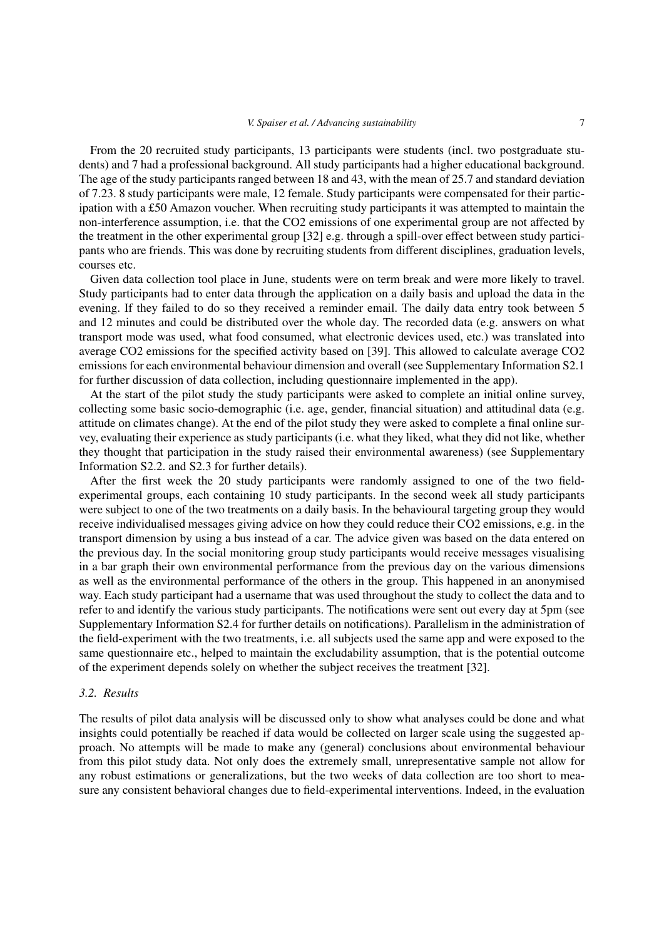From the 20 recruited study participants, 13 participants were students (incl. two postgraduate students) and 7 had a professional background. All study participants had a higher educational background. The age of the study participants ranged between 18 and 43, with the mean of 25.7 and standard deviation of 7.23. 8 study participants were male, 12 female. Study participants were compensated for their participation with a £50 Amazon voucher. When recruiting study participants it was attempted to maintain the non-interference assumption, i.e. that the CO2 emissions of one experimental group are not affected by the treatment in the other experimental group [\[32\]](#page-12-7) e.g. through a spill-over effect between study participants who are friends. This was done by recruiting students from different disciplines, graduation levels, courses etc.

Given data collection tool place in June, students were on term break and were more likely to travel. Study participants had to enter data through the application on a daily basis and upload the data in the evening. If they failed to do so they received a reminder email. The daily data entry took between 5 and 12 minutes and could be distributed over the whole day. The recorded data (e.g. answers on what transport mode was used, what food consumed, what electronic devices used, etc.) was translated into average CO2 emissions for the specified activity based on [\[39\]](#page-12-14). This allowed to calculate average CO2 emissions for each environmental behaviour dimension and overall (see Supplementary Information S2.1 for further discussion of data collection, including questionnaire implemented in the app).

At the start of the pilot study the study participants were asked to complete an initial online survey, collecting some basic socio-demographic (i.e. age, gender, financial situation) and attitudinal data (e.g. attitude on climates change). At the end of the pilot study they were asked to complete a final online survey, evaluating their experience as study participants (i.e. what they liked, what they did not like, whether they thought that participation in the study raised their environmental awareness) (see Supplementary Information S2.2. and S2.3 for further details).

After the first week the 20 study participants were randomly assigned to one of the two fieldexperimental groups, each containing 10 study participants. In the second week all study participants were subject to one of the two treatments on a daily basis. In the behavioural targeting group they would receive individualised messages giving advice on how they could reduce their CO2 emissions, e.g. in the transport dimension by using a bus instead of a car. The advice given was based on the data entered on the previous day. In the social monitoring group study participants would receive messages visualising in a bar graph their own environmental performance from the previous day on the various dimensions as well as the environmental performance of the others in the group. This happened in an anonymised way. Each study participant had a username that was used throughout the study to collect the data and to refer to and identify the various study participants. The notifications were sent out every day at 5pm (see Supplementary Information S2.4 for further details on notifications). Parallelism in the administration of the field-experiment with the two treatments, i.e. all subjects used the same app and were exposed to the same questionnaire etc., helped to maintain the excludability assumption, that is the potential outcome of the experiment depends solely on whether the subject receives the treatment [\[32\]](#page-12-7).

#### *3.2. Results*

The results of pilot data analysis will be discussed only to show what analyses could be done and what insights could potentially be reached if data would be collected on larger scale using the suggested approach. No attempts will be made to make any (general) conclusions about environmental behaviour from this pilot study data. Not only does the extremely small, unrepresentative sample not allow for any robust estimations or generalizations, but the two weeks of data collection are too short to measure any consistent behavioral changes due to field-experimental interventions. Indeed, in the evaluation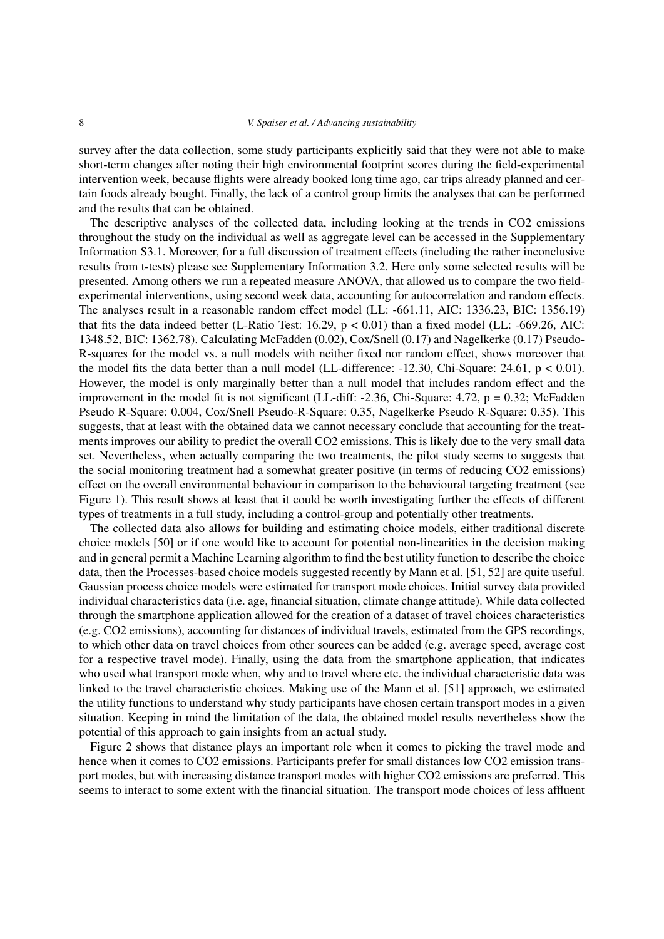survey after the data collection, some study participants explicitly said that they were not able to make short-term changes after noting their high environmental footprint scores during the field-experimental intervention week, because flights were already booked long time ago, car trips already planned and certain foods already bought. Finally, the lack of a control group limits the analyses that can be performed and the results that can be obtained.

The descriptive analyses of the collected data, including looking at the trends in CO2 emissions throughout the study on the individual as well as aggregate level can be accessed in the Supplementary Information S3.1. Moreover, for a full discussion of treatment effects (including the rather inconclusive results from t-tests) please see Supplementary Information 3.2. Here only some selected results will be presented. Among others we run a repeated measure ANOVA, that allowed us to compare the two fieldexperimental interventions, using second week data, accounting for autocorrelation and random effects. The analyses result in a reasonable random effect model (LL: -661.11, AIC: 1336.23, BIC: 1356.19) that fits the data indeed better (L-Ratio Test: 16.29, p < 0.01) than a fixed model (LL: -669.26, AIC: 1348.52, BIC: 1362.78). Calculating McFadden (0.02), Cox/Snell (0.17) and Nagelkerke (0.17) Pseudo-R-squares for the model vs. a null models with neither fixed nor random effect, shows moreover that the model fits the data better than a null model (LL-difference:  $-12.30$ , Chi-Square: 24.61, p < 0.01). However, the model is only marginally better than a null model that includes random effect and the improvement in the model fit is not significant (LL-diff: -2.36, Chi-Square:  $4.72$ ,  $p = 0.32$ ; McFadden Pseudo R-Square: 0.004, Cox/Snell Pseudo-R-Square: 0.35, Nagelkerke Pseudo R-Square: 0.35). This suggests, that at least with the obtained data we cannot necessary conclude that accounting for the treatments improves our ability to predict the overall CO2 emissions. This is likely due to the very small data set. Nevertheless, when actually comparing the two treatments, the pilot study seems to suggests that the social monitoring treatment had a somewhat greater positive (in terms of reducing CO2 emissions) effect on the overall environmental behaviour in comparison to the behavioural targeting treatment (see Figure [1\)](#page-8-0). This result shows at least that it could be worth investigating further the effects of different types of treatments in a full study, including a control-group and potentially other treatments.

The collected data also allows for building and estimating choice models, either traditional discrete choice models [\[50\]](#page-13-0) or if one would like to account for potential non-linearities in the decision making and in general permit a Machine Learning algorithm to find the best utility function to describe the choice data, then the Processes-based choice models suggested recently by Mann et al. [\[51,](#page-13-1) [52\]](#page-13-2) are quite useful. Gaussian process choice models were estimated for transport mode choices. Initial survey data provided individual characteristics data (i.e. age, financial situation, climate change attitude). While data collected through the smartphone application allowed for the creation of a dataset of travel choices characteristics (e.g. CO2 emissions), accounting for distances of individual travels, estimated from the GPS recordings, to which other data on travel choices from other sources can be added (e.g. average speed, average cost for a respective travel mode). Finally, using the data from the smartphone application, that indicates who used what transport mode when, why and to travel where etc. the individual characteristic data was linked to the travel characteristic choices. Making use of the Mann et al. [\[51\]](#page-13-1) approach, we estimated the utility functions to understand why study participants have chosen certain transport modes in a given situation. Keeping in mind the limitation of the data, the obtained model results nevertheless show the potential of this approach to gain insights from an actual study.

Figure [2](#page-9-0) shows that distance plays an important role when it comes to picking the travel mode and hence when it comes to CO2 emissions. Participants prefer for small distances low CO2 emission transport modes, but with increasing distance transport modes with higher CO2 emissions are preferred. This seems to interact to some extent with the financial situation. The transport mode choices of less affluent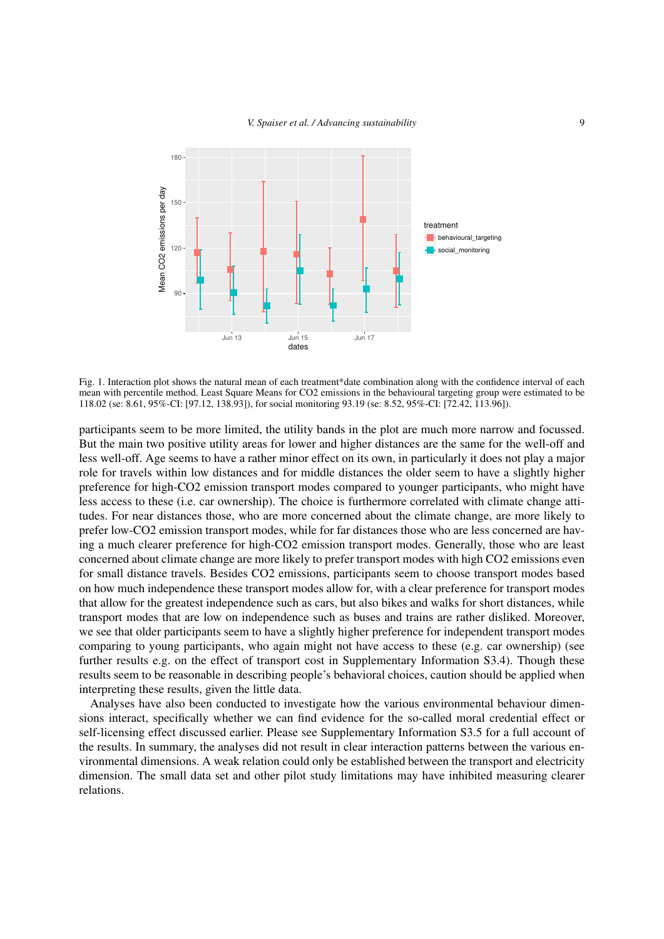

<span id="page-8-0"></span>Fig. 1. Interaction plot shows the natural mean of each treatment\*date combination along with the confidence interval of each mean with percentile method. Least Square Means for CO2 emissions in the behavioural targeting group were estimated to be 118.02 (se: 8.61, 95%-CI: [97.12, 138.93]), for social monitoring 93.19 (se: 8.52, 95%-CI: [72.42, 113.96]).

participants seem to be more limited, the utility bands in the plot are much more narrow and focussed. But the main two positive utility areas for lower and higher distances are the same for the well-off and less well-off. Age seems to have a rather minor effect on its own, in particularly it does not play a major role for travels within low distances and for middle distances the older seem to have a slightly higher preference for high-CO2 emission transport modes compared to younger participants, who might have less access to these (i.e. car ownership). The choice is furthermore correlated with climate change attitudes. For near distances those, who are more concerned about the climate change, are more likely to prefer low-CO2 emission transport modes, while for far distances those who are less concerned are having a much clearer preference for high-CO2 emission transport modes. Generally, those who are least concerned about climate change are more likely to prefer transport modes with high CO2 emissions even for small distance travels. Besides CO2 emissions, participants seem to choose transport modes based on how much independence these transport modes allow for, with a clear preference for transport modes that allow for the greatest independence such as cars, but also bikes and walks for short distances, while transport modes that are low on independence such as buses and trains are rather disliked. Moreover, we see that older participants seem to have a slightly higher preference for independent transport modes comparing to young participants, who again might not have access to these (e.g. car ownership) (see further results e.g. on the effect of transport cost in Supplementary Information S3.4). Though these results seem to be reasonable in describing people's behavioral choices, caution should be applied when interpreting these results, given the little data.

Analyses have also been conducted to investigate how the various environmental behaviour dimensions interact, specifically whether we can find evidence for the so-called moral credential effect or self-licensing effect discussed earlier. Please see Supplementary Information S3.5 for a full account of the results. In summary, the analyses did not result in clear interaction patterns between the various environmental dimensions. A weak relation could only be established between the transport and electricity dimension. The small data set and other pilot study limitations may have inhibited measuring clearer relations.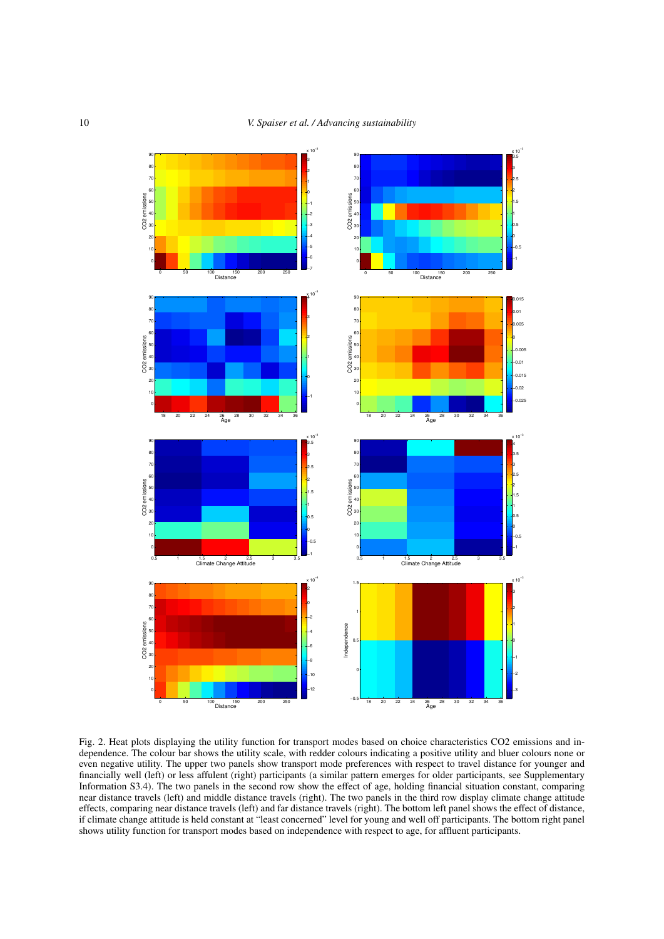

<span id="page-9-0"></span>Fig. 2. Heat plots displaying the utility function for transport modes based on choice characteristics CO2 emissions and independence. The colour bar shows the utility scale, with redder colours indicating a positive utility and bluer colours none or even negative utility. The upper two panels show transport mode preferences with respect to travel distance for younger and financially well (left) or less affulent (right) participants (a similar pattern emerges for older participants, see Supplementary Information S3.4). The two panels in the second row show the effect of age, holding financial situation constant, comparing near distance travels (left) and middle distance travels (right). The two panels in the third row display climate change attitude effects, comparing near distance travels (left) and far distance travels (right). The bottom left panel shows the effect of distance, if climate change attitude is held constant at "least concerned" level for young and well off participants. The bottom right panel shows utility function for transport modes based on independence with respect to age, for affluent participants.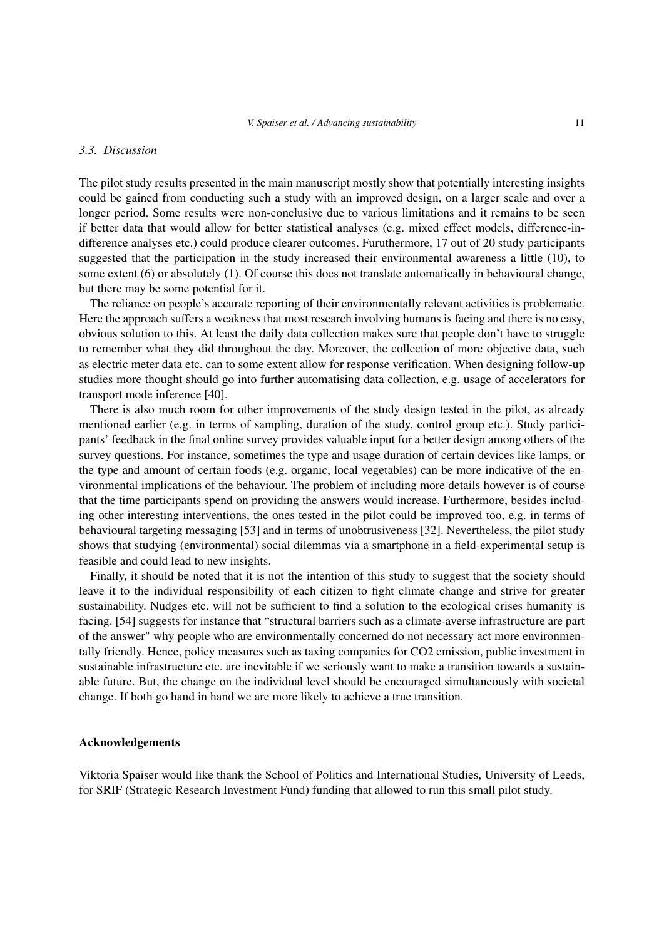#### *3.3. Discussion*

The pilot study results presented in the main manuscript mostly show that potentially interesting insights could be gained from conducting such a study with an improved design, on a larger scale and over a longer period. Some results were non-conclusive due to various limitations and it remains to be seen if better data that would allow for better statistical analyses (e.g. mixed effect models, difference-indifference analyses etc.) could produce clearer outcomes. Furuthermore, 17 out of 20 study participants suggested that the participation in the study increased their environmental awareness a little (10), to some extent (6) or absolutely (1). Of course this does not translate automatically in behavioural change, but there may be some potential for it.

The reliance on people's accurate reporting of their environmentally relevant activities is problematic. Here the approach suffers a weakness that most research involving humans is facing and there is no easy, obvious solution to this. At least the daily data collection makes sure that people don't have to struggle to remember what they did throughout the day. Moreover, the collection of more objective data, such as electric meter data etc. can to some extent allow for response verification. When designing follow-up studies more thought should go into further automatising data collection, e.g. usage of accelerators for transport mode inference [\[40\]](#page-12-15).

There is also much room for other improvements of the study design tested in the pilot, as already mentioned earlier (e.g. in terms of sampling, duration of the study, control group etc.). Study participants' feedback in the final online survey provides valuable input for a better design among others of the survey questions. For instance, sometimes the type and usage duration of certain devices like lamps, or the type and amount of certain foods (e.g. organic, local vegetables) can be more indicative of the environmental implications of the behaviour. The problem of including more details however is of course that the time participants spend on providing the answers would increase. Furthermore, besides including other interesting interventions, the ones tested in the pilot could be improved too, e.g. in terms of behavioural targeting messaging [\[53\]](#page-13-3) and in terms of unobtrusiveness [\[32\]](#page-12-7). Nevertheless, the pilot study shows that studying (environmental) social dilemmas via a smartphone in a field-experimental setup is feasible and could lead to new insights.

Finally, it should be noted that it is not the intention of this study to suggest that the society should leave it to the individual responsibility of each citizen to fight climate change and strive for greater sustainability. Nudges etc. will not be sufficient to find a solution to the ecological crises humanity is facing. [\[54\]](#page-13-4) suggests for instance that "structural barriers such as a climate-averse infrastructure are part of the answer" why people who are environmentally concerned do not necessary act more environmentally friendly. Hence, policy measures such as taxing companies for CO2 emission, public investment in sustainable infrastructure etc. are inevitable if we seriously want to make a transition towards a sustainable future. But, the change on the individual level should be encouraged simultaneously with societal change. If both go hand in hand we are more likely to achieve a true transition.

#### Acknowledgements

Viktoria Spaiser would like thank the School of Politics and International Studies, University of Leeds, for SRIF (Strategic Research Investment Fund) funding that allowed to run this small pilot study.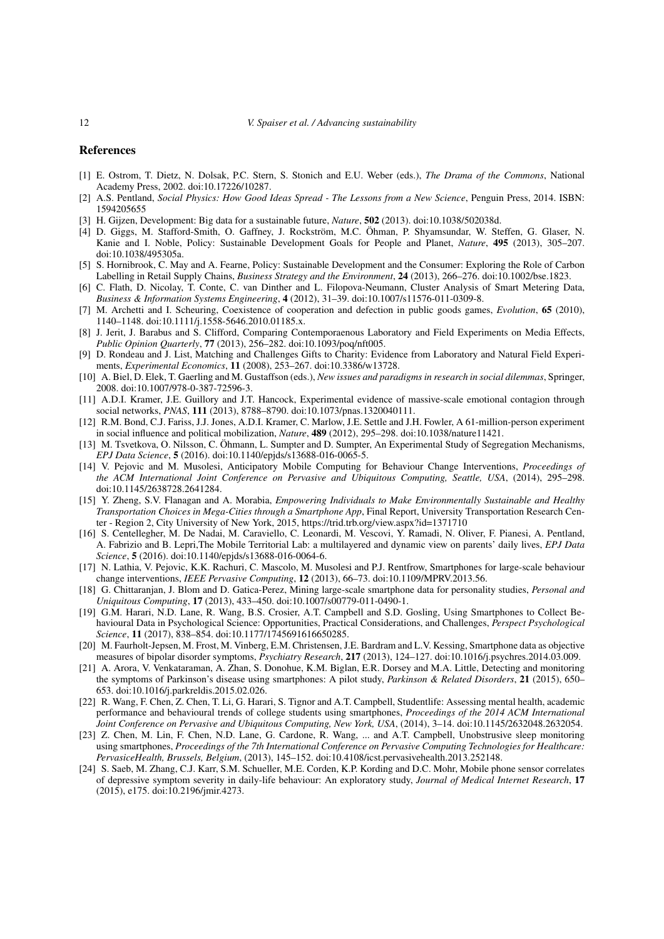#### References

- <span id="page-11-0"></span>[1] E. Ostrom, T. Dietz, N. Dolsak, P.C. Stern, S. Stonich and E.U. Weber (eds.), *The Drama of the Commons*, National Academy Press, 2002. doi:10.17226/10287.
- <span id="page-11-1"></span>[2] A.S. Pentland, *Social Physics: How Good Ideas Spread - The Lessons from a New Science*, Penguin Press, 2014. ISBN: 1594205655
- <span id="page-11-2"></span>[3] H. Gijzen, Development: Big data for a sustainable future, *Nature*, 502 (2013). doi:10.1038/502038d.
- <span id="page-11-3"></span>[4] D. Giggs, M. Stafford-Smith, O. Gaffney, J. Rockström, M.C. Öhman, P. Shyamsundar, W. Steffen, G. Glaser, N. Kanie and I. Noble, Policy: Sustainable Development Goals for People and Planet, *Nature*, 495 (2013), 305–207. doi:10.1038/495305a.
- <span id="page-11-4"></span>[5] S. Hornibrook, C. May and A. Fearne, Policy: Sustainable Development and the Consumer: Exploring the Role of Carbon Labelling in Retail Supply Chains, *Business Strategy and the Environment*, 24 (2013), 266–276. doi:10.1002/bse.1823.
- <span id="page-11-5"></span>[6] C. Flath, D. Nicolay, T. Conte, C. van Dinther and L. Filopova-Neumann, Cluster Analysis of Smart Metering Data, *Business & Information Systems Engineering*, 4 (2012), 31–39. doi:10.1007/s11576-011-0309-8.
- <span id="page-11-6"></span>[7] M. Archetti and I. Scheuring, Coexistence of cooperation and defection in public goods games, *Evolution*, 65 (2010), 1140–1148. doi:10.1111/j.1558-5646.2010.01185.x.
- <span id="page-11-7"></span>[8] J. Jerit, J. Barabus and S. Clifford, Comparing Contemporaenous Laboratory and Field Experiments on Media Effects, *Public Opinion Quarterly*, 77 (2013), 256–282. doi:10.1093/poq/nft005.
- <span id="page-11-8"></span>[9] D. Rondeau and J. List, Matching and Challenges Gifts to Charity: Evidence from Laboratory and Natural Field Experiments, *Experimental Economics*, 11 (2008), 253–267. doi:10.3386/w13728.
- <span id="page-11-9"></span>[10] A. Biel, D. Elek, T. Gaerling and M. Gustaffson (eds.), *New issues and paradigms in research in social dilemmas*, Springer, 2008. doi:10.1007/978-0-387-72596-3.
- <span id="page-11-10"></span>[11] A.D.I. Kramer, J.E. Guillory and J.T. Hancock, Experimental evidence of massive-scale emotional contagion through social networks, *PNAS*, 111 (2013), 8788–8790. doi:10.1073/pnas.1320040111.
- [12] R.M. Bond, C.J. Fariss, J.J. Jones, A.D.I. Kramer, C. Marlow, J.E. Settle and J.H. Fowler, A 61-million-person experiment in social influence and political mobilization, *Nature*, 489 (2012), 295–298. doi:10.1038/nature11421.
- <span id="page-11-11"></span>[13] M. Tsvetkova, O. Nilsson, C. Öhmann, L. Sumpter and D. Sumpter, An Experimental Study of Segregation Mechanisms, *EPJ Data Science*, 5 (2016). doi:10.1140/epjds/s13688-016-0065-5.
- [14] V. Pejovic and M. Musolesi, Anticipatory Mobile Computing for Behaviour Change Interventions, *Proceedings of the ACM International Joint Conference on Pervasive and Ubiquitous Computing, Seattle, USA*, (2014), 295–298. doi:10.1145/2638728.2641284.
- <span id="page-11-12"></span>[15] Y. Zheng, S.V. Flanagan and A. Morabia, *Empowering Individuals to Make Environmentally Sustainable and Healthy Transportation Choices in Mega-Cities through a Smartphone App*, Final Report, University Transportation Research Center - Region 2, City University of New York, 2015,<https://trid.trb.org/view.aspx?id=1371710>
- <span id="page-11-13"></span>[16] S. Centellegher, M. De Nadai, M. Caraviello, C. Leonardi, M. Vescovi, Y. Ramadi, N. Oliver, F. Pianesi, A. Pentland, A. Fabrizio and B. Lepri,The Mobile Territorial Lab: a multilayered and dynamic view on parents' daily lives, *EPJ Data Science*, 5 (2016). doi:10.1140/epjds/s13688-016-0064-6.
- <span id="page-11-14"></span>[17] N. Lathia, V. Pejovic, K.K. Rachuri, C. Mascolo, M. Musolesi and P.J. Rentfrow, Smartphones for large-scale behaviour change interventions, *IEEE Pervasive Computing*, 12 (2013), 66–73. doi:10.1109/MPRV.2013.56.
- <span id="page-11-15"></span>[18] G. Chittaranjan, J. Blom and D. Gatica-Perez, Mining large-scale smartphone data for personality studies, *Personal and Uniquitous Computing*, 17 (2013), 433–450. doi:10.1007/s00779-011-0490-1.
- <span id="page-11-16"></span>[19] G.M. Harari, N.D. Lane, R. Wang, B.S. Crosier, A.T. Campbell and S.D. Gosling, Using Smartphones to Collect Behavioural Data in Psychological Science: Opportunities, Practical Considerations, and Challenges, *Perspect Psychological Science*, 11 (2017), 838–854. doi:10.1177/1745691616650285.
- <span id="page-11-17"></span>[20] M. Faurholt-Jepsen, M. Frost, M. Vinberg, E.M. Christensen, J.E. Bardram and L.V. Kessing, Smartphone data as objective measures of bipolar disorder symptoms, *Psychiatry Research*, 217 (2013), 124–127. doi:10.1016/j.psychres.2014.03.009.
- <span id="page-11-18"></span>[21] A. Arora, V. Venkataraman, A. Zhan, S. Donohue, K.M. Biglan, E.R. Dorsey and M.A. Little, Detecting and monitoring the symptoms of Parkinson's disease using smartphones: A pilot study, *Parkinson & Related Disorders*, 21 (2015), 650– 653. doi:10.1016/j.parkreldis.2015.02.026.
- <span id="page-11-19"></span>[22] R. Wang, F. Chen, Z. Chen, T. Li, G. Harari, S. Tignor and A.T. Campbell, Studentlife: Assessing mental health, academic performance and behavioural trends of college students using smartphones, *Proceedings of the 2014 ACM International Joint Conference on Pervasive and Ubiquitous Computing, New York, USA*, (2014), 3–14. doi:10.1145/2632048.2632054.
- <span id="page-11-20"></span>[23] Z. Chen, M. Lin, F. Chen, N.D. Lane, G. Cardone, R. Wang, ... and A.T. Campbell, Unobstrusive sleep monitoring using smartphones, *Proceedings of the 7th International Conference on Pervasive Computing Technologies for Healthcare: PervasiceHealth, Brussels, Belgium*, (2013), 145–152. doi:10.4108/icst.pervasivehealth.2013.252148.
- <span id="page-11-21"></span>[24] S. Saeb, M. Zhang, C.J. Karr, S.M. Schueller, M.E. Corden, K.P. Kording and D.C. Mohr, Mobile phone sensor correlates of depressive symptom severity in daily-life behaviour: An exploratory study, *Journal of Medical Internet Research*, 17 (2015), e175. doi:10.2196/jmir.4273.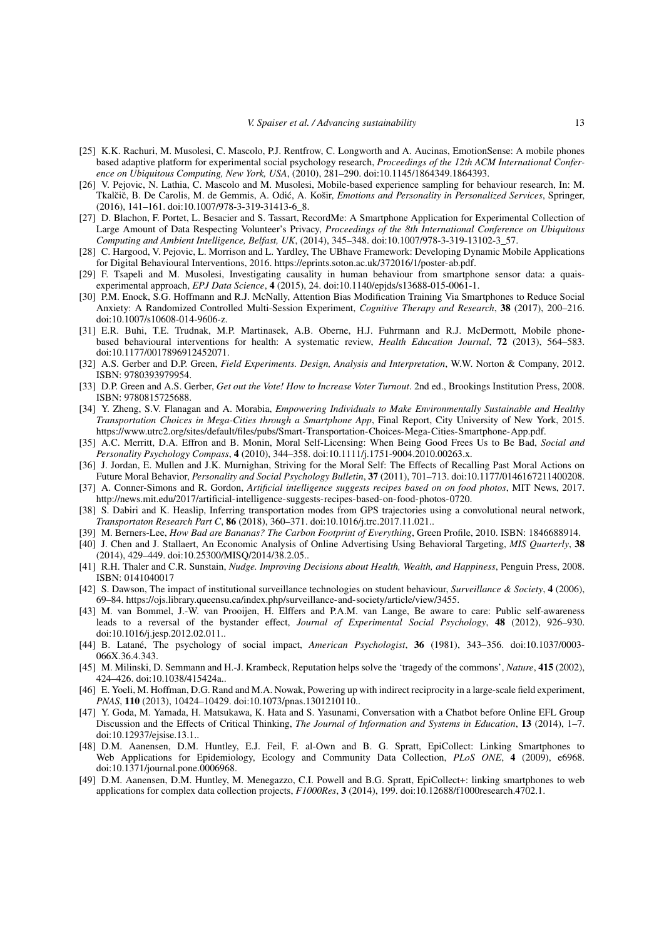- <span id="page-12-0"></span>[25] K.K. Rachuri, M. Musolesi, C. Mascolo, P.J. Rentfrow, C. Longworth and A. Aucinas, EmotionSense: A mobile phones based adaptive platform for experimental social psychology research, *Proceedings of the 12th ACM International Conference on Ubiquitous Computing, New York, USA*, (2010), 281–290. doi:10.1145/1864349.1864393.
- <span id="page-12-1"></span>[26] V. Pejovic, N. Lathia, C. Mascolo and M. Musolesi, Mobile-based experience sampling for behaviour research, In: M. Tkalčič, B. De Carolis, M. de Gemmis, A. Odić, A. Košir, *Emotions and Personality in Personalized Services*, Springer, (2016), 141–161. doi:10.1007/978-3-319-31413-6\_8.
- <span id="page-12-2"></span>[27] D. Blachon, F. Portet, L. Besacier and S. Tassart, RecordMe: A Smartphone Application for Experimental Collection of Large Amount of Data Respecting Volunteer's Privacy, *Proceedings of the 8th International Conference on Ubiquitous Computing and Ambient Intelligence, Belfast, UK*, (2014), 345–348. doi:10.1007/978-3-319-13102-3\_57.
- <span id="page-12-3"></span>[28] C. Hargood, V. Pejovic, L. Morrison and L. Yardley, The UBhave Framework: Developing Dynamic Mobile Applications for Digital Behavioural Interventions, 2016. [https://eprints.soton.ac.uk/372016/1/poster-ab.pdf.](https://eprints.soton.ac.uk/372016/1/poster-ab.pdf)
- <span id="page-12-4"></span>[29] F. Tsapeli and M. Musolesi, Investigating causality in human behaviour from smartphone sensor data: a quaisexperimental approach, *EPJ Data Science*, 4 (2015), 24. doi:10.1140/epjds/s13688-015-0061-1.
- <span id="page-12-5"></span>[30] P.M. Enock, S.G. Hoffmann and R.J. McNally, Attention Bias Modification Training Via Smartphones to Reduce Social Anxiety: A Randomized Controlled Multi-Session Experiment, *Cognitive Therapy and Research*, 38 (2017), 200–216. doi:10.1007/s10608-014-9606-z.
- <span id="page-12-6"></span>[31] E.R. Buhi, T.E. Trudnak, M.P. Martinasek, A.B. Oberne, H.J. Fuhrmann and R.J. McDermott, Mobile phonebased behavioural interventions for health: A systematic review, *Health Education Journal*, 72 (2013), 564–583. doi:10.1177/0017896912452071.
- <span id="page-12-7"></span>[32] A.S. Gerber and D.P. Green, *Field Experiments. Design, Analysis and Interpretation*, W.W. Norton & Company, 2012. ISBN: 9780393979954.
- <span id="page-12-8"></span>[33] D.P. Green and A.S. Gerber, *Get out the Vote! How to Increase Voter Turnout*. 2nd ed., Brookings Institution Press, 2008. ISBN: 9780815725688.
- <span id="page-12-9"></span>[34] Y. Zheng, S.V. Flanagan and A. Morabia, *Empowering Individuals to Make Environmentally Sustainable and Healthy Transportation Choices in Mega-Cities through a Smartphone App*, Final Report, City University of New York, 2015. [https://www.utrc2.org/sites/default/files/pubs/Smart-Transportation-Choices-Mega-Cities-Smartphone-App.pdf.](https://www.utrc2.org/sites/default/files/pubs/Smart-Transportation-Choices-Mega-Cities-Smartphone-App.pdf)
- <span id="page-12-10"></span>[35] A.C. Merritt, D.A. Effron and B. Monin, Moral Self-Licensing: When Being Good Frees Us to Be Bad, *Social and Personality Psychology Compass*, 4 (2010), 344–358. doi:10.1111/j.1751-9004.2010.00263.x.
- <span id="page-12-11"></span>[36] J. Jordan, E. Mullen and J.K. Murnighan, Striving for the Moral Self: The Effects of Recalling Past Moral Actions on Future Moral Behavior, *Personality and Social Psychology Bulletin*, 37 (2011), 701–713. doi:10.1177/0146167211400208.
- <span id="page-12-12"></span>[37] A. Conner-Simons and R. Gordon, *Artificial intelligence suggests recipes based on on food photos*, MIT News, 2017. [http://news.mit.edu/2017/artificial-intelligence-suggests-recipes-based-on-food-photos-0720.](http://news.mit.edu/2017/artificial-intelligence-suggests-recipes-based-on-food-photos-0720)
- <span id="page-12-13"></span>[38] S. Dabiri and K. Heaslip, Inferring transportation modes from GPS trajectories using a convolutional neural network, *Transportaton Research Part C*, 86 (2018), 360–371. doi:10.1016/j.trc.2017.11.021..
- <span id="page-12-14"></span>[39] M. Berners-Lee, *How Bad are Bananas? The Carbon Footprint of Everything*, Green Profile, 2010. ISBN: 1846688914.
- <span id="page-12-15"></span>[40] J. Chen and J. Stallaert, An Economic Analysis of Online Advertising Using Behavioral Targeting, *MIS Quarterly*, 38 (2014), 429–449. doi:10.25300/MISQ/2014/38.2.05..
- <span id="page-12-16"></span>[41] R.H. Thaler and C.R. Sunstain, *Nudge. Improving Decisions about Health, Wealth, and Happiness*, Penguin Press, 2008. ISBN: 0141040017
- <span id="page-12-17"></span>[42] S. Dawson, The impact of institutional surveillance technologies on student behaviour, *Surveillance & Society*, 4 (2006), 69–84. [https://ojs.library.queensu.ca/index.php/surveillance-and-society/article/view/3455.](https://ojs.library.queensu.ca/index.php/surveillance-and-society/article/view/3455)
- <span id="page-12-18"></span>[43] M. van Bommel, J.-W. van Prooijen, H. Elffers and P.A.M. van Lange, Be aware to care: Public self-awareness leads to a reversal of the bystander effect, *Journal of Experimental Social Psychology*, 48 (2012), 926–930. doi:10.1016/j.jesp.2012.02.011..
- <span id="page-12-19"></span>[44] B. Latané, The psychology of social impact, *American Psychologist*, 36 (1981), 343–356. doi:10.1037/0003- 066X.36.4.343.
- <span id="page-12-20"></span>[45] M. Milinski, D. Semmann and H.-J. Krambeck, Reputation helps solve the 'tragedy of the commons', *Nature*, 415 (2002), 424–426. doi:10.1038/415424a..
- <span id="page-12-21"></span>[46] E. Yoeli, M. Hoffman, D.G. Rand and M.A. Nowak, Powering up with indirect reciprocity in a large-scale field experiment, *PNAS*, 110 (2013), 10424–10429. doi:10.1073/pnas.1301210110..
- <span id="page-12-22"></span>[47] Y. Goda, M. Yamada, H. Matsukawa, K. Hata and S. Yasunami, Conversation with a Chatbot before Online EFL Group Discussion and the Effects of Critical Thinking, *The Journal of Information and Systems in Education*, 13 (2014), 1–7. doi:10.12937/ejsise.13.1..
- <span id="page-12-23"></span>[48] D.M. Aanensen, D.M. Huntley, E.J. Feil, F. al-Own and B. G. Spratt, EpiCollect: Linking Smartphones to Web Applications for Epidemiology, Ecology and Community Data Collection, *PLoS ONE*, 4 (2009), e6968. doi:10.1371/journal.pone.0006968.
- <span id="page-12-24"></span>[49] D.M. Aanensen, D.M. Huntley, M. Menegazzo, C.I. Powell and B.G. Spratt, EpiCollect+: linking smartphones to web applications for complex data collection projects, *F1000Res*, 3 (2014), 199. doi:10.12688/f1000research.4702.1.